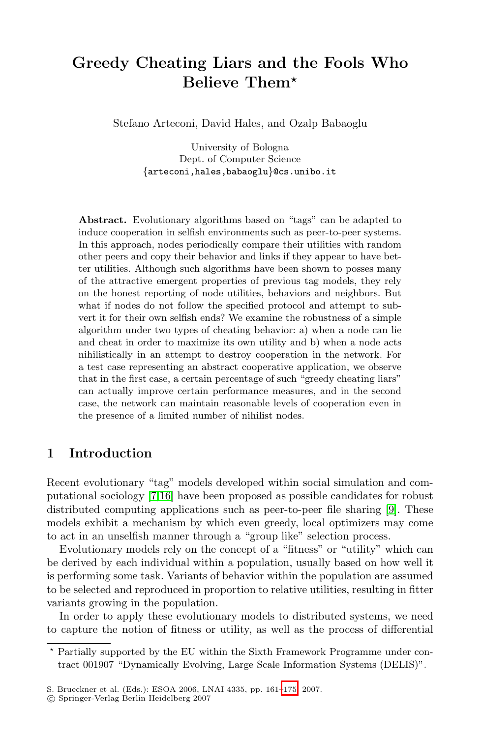# **Greedy Cheating Liars and the Fools Who Believe Them***-*

Stefano Arteconi, David Hales, and Ozalp Babaoglu

University of Bologna Dept. of Computer Science {arteconi,hales,babaoglu}@cs.unibo.it

**Abstract.** Evolutionary algorithms based on "tags" can be adapted to induce cooperation in selfish environments such as peer-to-peer systems. In this approach, nodes periodically compare their utilities with random other peers and copy their behavior and links if they appear to have better utilities. Although such algorithms have been shown to posses many of the attractive emergent properties of previous tag models, they rely on the honest reporting of node utilities, behaviors and neighbors. But what if nodes do not follow the specified protocol and attempt to subvert it for their own selfish ends? We examine the robustness of a simple algorithm under two types of cheating behavior: a) when a node can lie and cheat in order to maximize its own utility and b) when a node acts nihilistically in an attempt to destroy cooperation in the network. For a test case representing an abstract cooperative application, we observe that in the first case, a certain percentage of such "greedy cheating liars" can actually improve certain performance measures, and in the second case, the network can maintain reasonable levels of cooperation even in the presence of a limited number of nihilist nodes.

## **1 Introduction**

Recent evolutionary "tag" models developed within social simulation and computational sociology [7,16] have been proposed as possible candidates for robust distributed computing applications such as peer-to-peer file sharing [9]. These models exhibit a mechanism by which even greedy, local optimizers may come to act in an unselfish manner through a "group like" selection process.

Evolutionary models rely on the concept of a "fitness" or "utility" which can be derived by each individual within a population, usually based on how well it is performing some task. Variants of behavior within the population are assumed to be selected and reproduced in proportion to relative utilities, resulting in fitter variants growing in the population.

In order to apply these evolutionary models to distributed systems, we need to capture the notion of fitness or utility, as well as the process of differential

<sup>-</sup> Partially supported by the EU within the Sixth Framework Programme under contract 001907 "Dynamically Evolving, Large Scale Information Systems (DELIS)".

S. Brueckner et al. (Eds.): ESOA 2006, LNAI 4335, pp. 161[–175,](#page-14-0) 2007.

<sup>-</sup>c Springer-Verlag Berlin Heidelberg 2007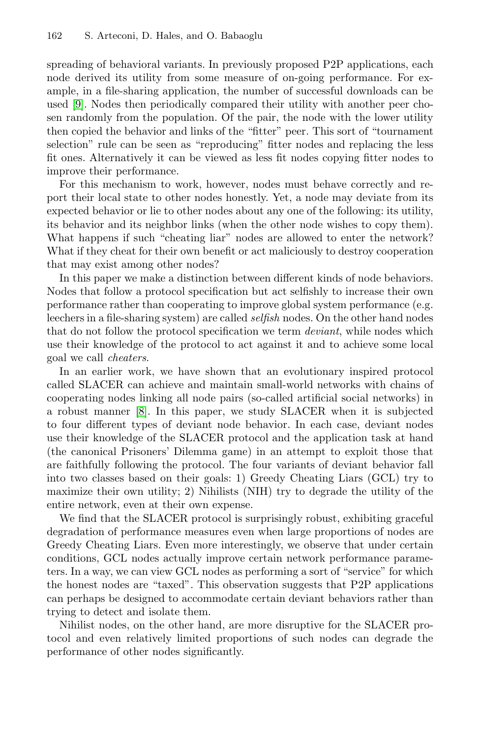spreading of behavioral variants. In previously proposed P2P applications, each node derived its utility from some measure of on-going performance. For example, in a file-sharing application, the number of successful downloads can be used [9]. Nodes then periodically compared their utility with another peer chosen randomly from the population. Of the pair, the node with the lower utility then copied the behavior and links of the "fitter" peer. This sort of "tournament selection" rule can be seen as "reproducing" fitter nodes and replacing the less fit ones. Alternatively it can be viewed as less fit nodes copying fitter nodes to improve their performance.

For this mechanism to work, however, nodes must behave correctly and report their local state to other nodes honestly. Yet, a node may deviate from its expected behavior or lie to other nodes about any one of the following: its utility, its behavior and its neighbor links (when the other node wishes to copy them). What happens if such "cheating liar" nodes are allowed to enter the network? What if they cheat for their own benefit or act maliciously to destroy cooperation that may exist among other nodes?

In this paper we make a distinction between different kinds of node behaviors. Nodes that follow a protocol specification but act selfishly to increase their own performance rather than cooperating to improve global system performance (e.g. leechers in a file-sharing system) are called selfish nodes. On the other hand nodes that do not follow the protocol specification we term *deviant*, while nodes which use their knowledge of the protocol to act against it and to achieve some local goal we call cheaters.

In an earlier work, we have shown that an evolutionary inspired protocol called SLACER can achieve and maintain small-world networks with chains of cooperating nodes linking all node pairs (so-called artificial social networks) in a robust manner [8]. In this paper, we study SLACER when it is subjected to four different types of deviant node behavior. In each case, deviant nodes use their knowledge of the SLACER protocol and the application task at hand (the canonical Prisoners' Dilemma game) in an attempt to exploit those that are faithfully following the protocol. The four variants of deviant behavior fall into two classes based on their goals: 1) Greedy Cheating Liars (GCL) try to maximize their own utility; 2) Nihilists (NIH) try to degrade the utility of the entire network, even at their own expense.

We find that the SLACER protocol is surprisingly robust, exhibiting graceful degradation of performance measures even when large proportions of nodes are Greedy Cheating Liars. Even more interestingly, we observe that under certain conditions, GCL nodes actually improve certain network performance parameters. In a way, we can view GCL nodes as performing a sort of "service" for which the honest nodes are "taxed". This observation suggests that P2P applications can perhaps be designed to accommodate certain deviant behaviors rather than trying to detect and isolate them.

Nihilist nodes, on the other hand, are more disruptive for the SLACER protocol and even relatively limited proportions of such nodes can degrade the performance of other nodes significantly.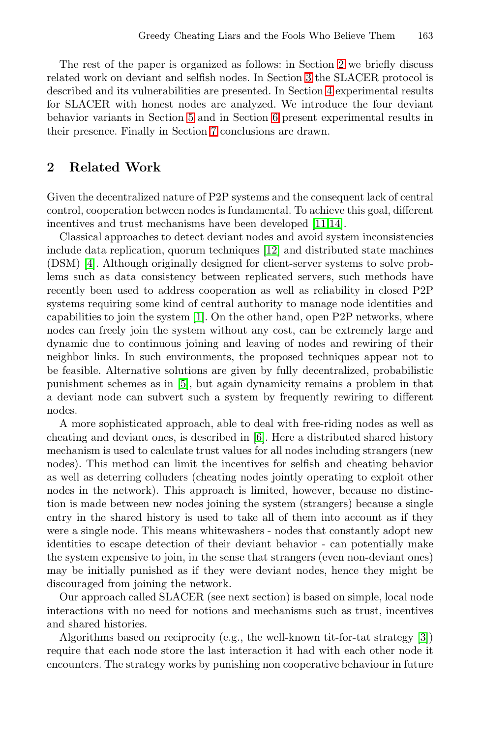The rest of the paper is organized as follows: in Section 2 we briefly discuss related work on deviant and selfish nodes. In Section 3 the SLACER protocol is described and its vulnerabilities are presented. In Section 4 experimental results for SLACER with honest nodes are analyzed. We introduce the four deviant behavior variants in Section 5 and in Section 6 present experimental results in their presence. Finally in Section 7 conclusions are drawn.

## **2 Related Work**

Given the decentralized nature of P2P systems and the consequent lack of central control, cooperation between nodes is fundamental. To achieve this goal, different incentives and trust mechanisms have been developed [11,14].

Classical approaches to detect deviant nodes and avoid system inconsistencies include data replication, quorum techniques [12] and distributed state machines (DSM) [4]. Although originally designed for client-server systems to solve problems such as data consistency between replicated servers, such methods have recently been used to address cooperation as well as reliability in closed P2P systems requiring some kind of central authority to manage node identities and capabilities to join the system [1]. On the other hand, open P2P networks, where nodes can freely join the system without any cost, can be extremely large and dynamic due to continuous joining and leaving of nodes and rewiring of their neighbor links. In such environments, the proposed techniques appear not to be feasible. Alternative solutions are given by fully decentralized, probabilistic punishment schemes as in [5], but again dynamicity remains a problem in that a deviant node can subvert such a system by frequently rewiring to different nodes.

A more sophisticated approach, able to deal with free-riding nodes as well as cheating and deviant ones, is described in [6]. Here a distributed shared history mechanism is used to calculate trust values for all nodes including strangers (new nodes). This method can limit the incentives for selfish and cheating behavior as well as deterring colluders (cheating nodes jointly operating to exploit other nodes in the network). This approach is limited, however, because no distinction is made between new nodes joining the system (strangers) because a single entry in the shared history is used to take all of them into account as if they were a single node. This means whitewashers - nodes that constantly adopt new identities to escape detection of their deviant behavior - can potentially make the system expensive to join, in the sense that strangers (even non-deviant ones) may be initially punished as if they were deviant nodes, hence they might be discouraged from joining the network.

Our approach called SLACER (see next section) is based on simple, local node interactions with no need for notions and mechanisms such as trust, incentives and shared histories.

Algorithms based on reciprocity (e.g., the well-known tit-for-tat strategy [3]) require that each node store the last interaction it had with each other node it encounters. The strategy works by punishing non cooperative behaviour in future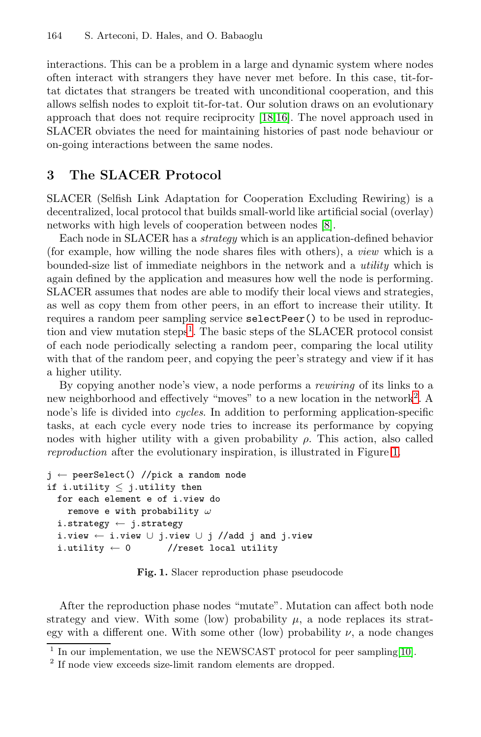interactions. This can be a problem in a large and dynamic system where nodes often interact with strangers they have never met before. In this case, tit-fortat dictates that strangers be treated with unconditional cooperation, and this allows selfish nodes to exploit tit-for-tat. Our solution draws on an evolutionary approach that does not require reciprocity [18,16]. The novel approach used in SLACER obviates the need for maintaining histories of past node behaviour or on-going interactions between the same nodes.

# **3 The SLACER Protocol**

SLACER (Selfish Link Adaptation for Cooperation Excluding Rewiring) is a decentralized, local protocol that builds small-world like artificial social (overlay) networks with high levels of cooperation between nodes [8].

Each node in SLACER has a strategy which is an application-defined behavior (for example, how willing the node shares files with others), a view which is a bounded-size list of immediate neighbors in the network and a utility which is again defined by the application and measures how well the node is performing. SLACER assumes that nodes are able to modify their local views and strategies, as well as copy them from other peers, in an effort to increase their utility. It requires a random peer sampling service selectPeer() to be used in reproduction and view mutation steps<sup>1</sup>. The basic steps of the SLACER protocol consist of each node periodically selecting a random peer, comparing the local utility with that of the random peer, and copying the peer's strategy and view if it has a higher utility.

By copying another node's view, a node performs a rewiring of its links to a new neighborhood and effectively "moves" to a new location in the network<sup>2</sup>. A node's life is divided into cycles. In addition to performing application-specific tasks, at each cycle every node tries to increase its performance by copying nodes with higher utility with a given probability  $\rho$ . This action, also called reproduction after the evolutionary inspiration, is illustrated in Figure 1.

```
j ← peerSelect() //pick a random node
if i.utility \leq j.utility then
 for each element e of i.view do
   remove e with probability \omegai.strategy ← j.strategy
  i.view ← i.view ∪ j.view ∪ j //add j and j.view
 i.utility \leftarrow 0 //reset local utility
```
**Fig. 1.** Slacer reproduction phase pseudocode

After the reproduction phase nodes "mutate". Mutation can affect both node strategy and view. With some (low) probability  $\mu$ , a node replaces its strategy with a different one. With some other (low) probability  $\nu$ , a node changes

In our implementation, we use the NEWSCAST protocol for peer sampling[10].

<sup>2</sup> If node view exceeds size-limit random elements are dropped.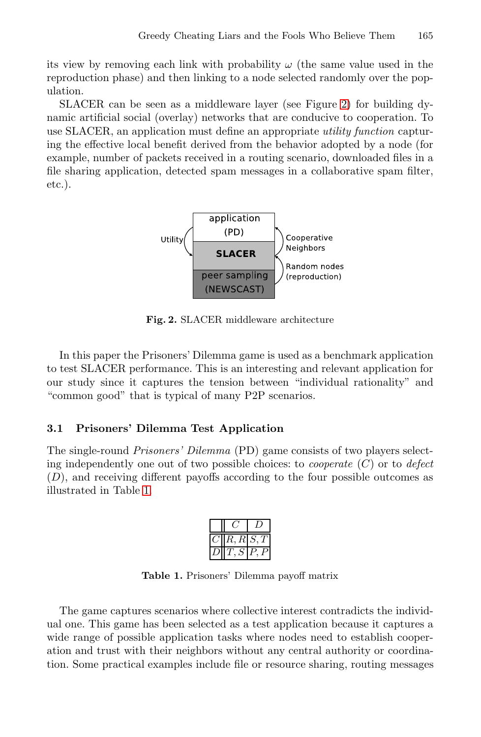its view by removing each link with probability  $\omega$  (the same value used in the reproduction phase) and then linking to a node selected randomly over the population.

SLACER can be seen as a middleware layer (see Figure 2) for building dynamic artificial social (overlay) networks that are conducive to cooperation. To use SLACER, an application must define an appropriate utility function capturing the effective local benefit derived from the behavior adopted by a node (for example, number of packets received in a routing scenario, downloaded files in a file sharing application, detected spam messages in a collaborative spam filter, etc.).



**Fig. 2.** SLACER middleware architecture

In this paper the Prisoners' Dilemma game is used as a benchmark application to test SLACER performance. This is an interesting and relevant application for our study since it captures the tension between "individual rationality" and "common good" that is typical of many P2P scenarios.

#### **3.1 Prisoners' Dilemma Test Application**

The single-round Prisoners' Dilemma (PD) game consists of two players selecting independently one out of two possible choices: to *cooperate*  $(C)$  or to *defect* (D), and receiving different payoffs according to the four possible outcomes as illustrated in Table 1.

| ₽.<br>к |  |
|---------|--|
|         |  |

**Table 1.** Prisoners' Dilemma payoff matrix

The game captures scenarios where collective interest contradicts the individual one. This game has been selected as a test application because it captures a wide range of possible application tasks where nodes need to establish cooperation and trust with their neighbors without any central authority or coordination. Some practical examples include file or resource sharing, routing messages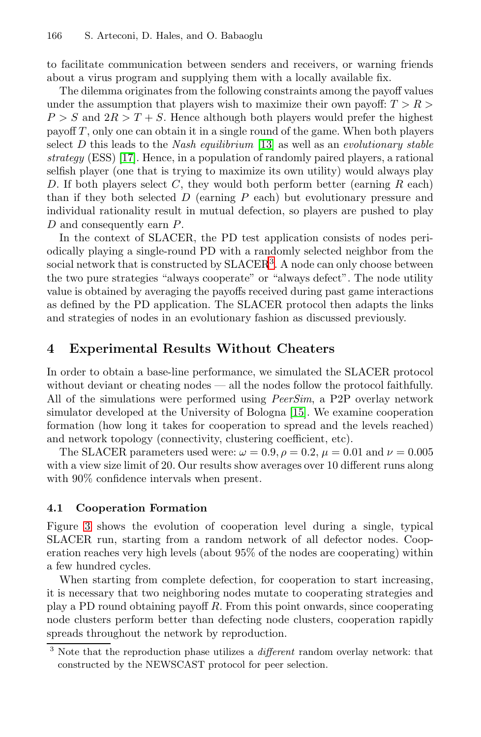to facilitate communication between senders and receivers, or warning friends about a virus program and supplying them with a locally available fix.

The dilemma originates from the following constraints among the payoff values under the assumption that players wish to maximize their own payoff:  $T>R>$  $P>S$  and  $2R>T + S$ . Hence although both players would prefer the highest payoff  $T$ , only one can obtain it in a single round of the game. When both players select D this leads to the Nash equilibrium [13] as well as an evolutionary stable strategy (ESS) [17]. Hence, in a population of randomly paired players, a rational selfish player (one that is trying to maximize its own utility) would always play D. If both players select  $C$ , they would both perform better (earning  $R$  each) than if they both selected  $D$  (earning  $P$  each) but evolutionary pressure and individual rationality result in mutual defection, so players are pushed to play D and consequently earn P.

In the context of SLACER, the PD test application consists of nodes periodically playing a single-round PD with a randomly selected neighbor from the social network that is constructed by SLACER<sup>3</sup>. A node can only choose between the two pure strategies "always cooperate" or "always defect". The node utility value is obtained by averaging the payoffs received during past game interactions as defined by the PD application. The SLACER protocol then adapts the links and strategies of nodes in an evolutionary fashion as discussed previously.

## **4 Experimental Results Without Cheaters**

In order to obtain a base-line performance, we simulated the SLACER protocol without deviant or cheating nodes — all the nodes follow the protocol faithfully. All of the simulations were performed using PeerSim, a P2P overlay network simulator developed at the University of Bologna [15]. We examine cooperation formation (how long it takes for cooperation to spread and the levels reached) and network topology (connectivity, clustering coefficient, etc).

The SLACER parameters used were:  $\omega = 0.9$ ,  $\rho = 0.2$ ,  $\mu = 0.01$  and  $\nu = 0.005$ with a view size limit of 20. Our results show averages over 10 different runs along with 90% confidence intervals when present.

#### **4.1 Cooperation Formation**

Figure 3 shows the evolution of cooperation level during a single, typical SLACER run, starting from a random network of all defector nodes. Cooperation reaches very high levels (about 95% of the nodes are cooperating) within a few hundred cycles.

When starting from complete defection, for cooperation to start increasing, it is necessary that two neighboring nodes mutate to cooperating strategies and play a PD round obtaining payoff R. From this point onwards, since cooperating node clusters perform better than defecting node clusters, cooperation rapidly spreads throughout the network by reproduction.

Note that the reproduction phase utilizes a *different* random overlay network: that constructed by the NEWSCAST protocol for peer selection.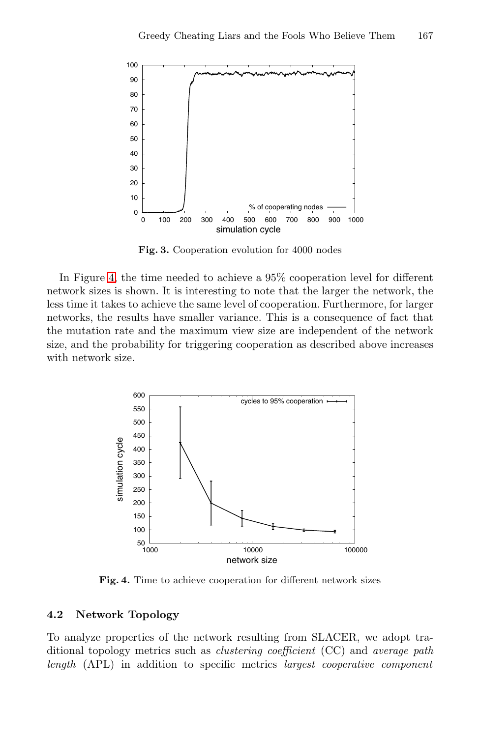

**Fig. 3.** Cooperation evolution for 4000 nodes

In Figure 4, the time needed to achieve a 95% cooperation level for different network sizes is shown. It is interesting to note that the larger the network, the less time it takes to achieve the same level of cooperation. Furthermore, for larger networks, the results have smaller variance. This is a consequence of fact that the mutation rate and the maximum view size are independent of the network size, and the probability for triggering cooperation as described above increases with network size.



**Fig. 4.** Time to achieve cooperation for different network sizes

## **4.2 Network Topology**

To analyze properties of the network resulting from SLACER, we adopt traditional topology metrics such as clustering coefficient (CC) and average path length (APL) in addition to specific metrics largest cooperative component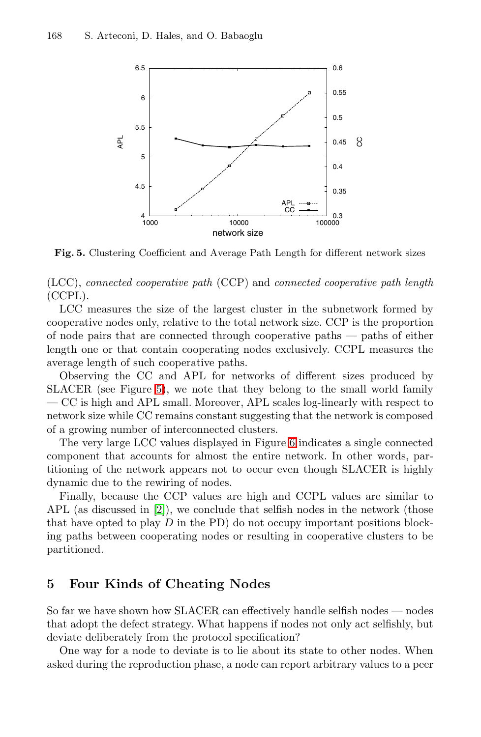

**Fig. 5.** Clustering Coefficient and Average Path Length for different network sizes

(LCC), connected cooperative path (CCP) and connected cooperative path length (CCPL).

LCC measures the size of the largest cluster in the subnetwork formed by cooperative nodes only, relative to the total network size. CCP is the proportion of node pairs that are connected through cooperative paths — paths of either length one or that contain cooperating nodes exclusively. CCPL measures the average length of such cooperative paths.

Observing the CC and APL for networks of different sizes produced by SLACER (see Figure 5), we note that they belong to the small world family — CC is high and APL small. Moreover, APL scales log-linearly with respect to network size while CC remains constant suggesting that the network is composed of a growing number of interconnected clusters.

The very large LCC values displayed in Figure 6 indicates a single connected component that accounts for almost the entire network. In other words, partitioning of the network appears not to occur even though SLACER is highly dynamic due to the rewiring of nodes.

Finally, because the CCP values are high and CCPL values are similar to APL (as discussed in [2]), we conclude that selfish nodes in the network (those that have opted to play  $D$  in the PD) do not occupy important positions blocking paths between cooperating nodes or resulting in cooperative clusters to be partitioned.

## **5 Four Kinds of Cheating Nodes**

So far we have shown how SLACER can effectively handle selfish nodes — nodes that adopt the defect strategy. What happens if nodes not only act selfishly, but deviate deliberately from the protocol specification?

One way for a node to deviate is to lie about its state to other nodes. When asked during the reproduction phase, a node can report arbitrary values to a peer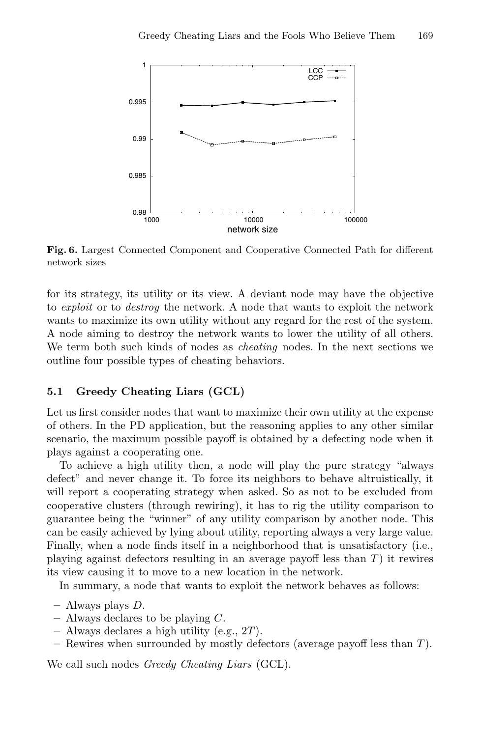

**Fig. 6.** Largest Connected Component and Cooperative Connected Path for different network sizes

for its strategy, its utility or its view. A deviant node may have the objective to exploit or to destroy the network. A node that wants to exploit the network wants to maximize its own utility without any regard for the rest of the system. A node aiming to destroy the network wants to lower the utility of all others. We term both such kinds of nodes as *cheating* nodes. In the next sections we outline four possible types of cheating behaviors.

## **5.1 Greedy Cheating Liars (GCL)**

Let us first consider nodes that want to maximize their own utility at the expense of others. In the PD application, but the reasoning applies to any other similar scenario, the maximum possible payoff is obtained by a defecting node when it plays against a cooperating one.

To achieve a high utility then, a node will play the pure strategy "always defect" and never change it. To force its neighbors to behave altruistically, it will report a cooperating strategy when asked. So as not to be excluded from cooperative clusters (through rewiring), it has to rig the utility comparison to guarantee being the "winner" of any utility comparison by another node. This can be easily achieved by lying about utility, reporting always a very large value. Finally, when a node finds itself in a neighborhood that is unsatisfactory (i.e., playing against defectors resulting in an average payoff less than  $T$ ) it rewires its view causing it to move to a new location in the network.

In summary, a node that wants to exploit the network behaves as follows:

- **–** Always plays D.
- **–** Always declares to be playing C.
- **–** Always declares a high utility (e.g., 2T ).
- **–** Rewires when surrounded by mostly defectors (average payoff less than T ).

We call such nodes *Greedy Cheating Liars* (GCL).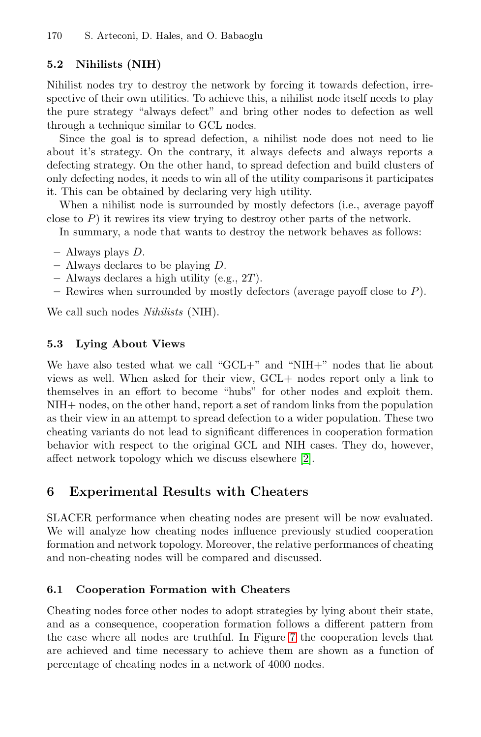## **5.2 Nihilists (NIH)**

Nihilist nodes try to destroy the network by forcing it towards defection, irrespective of their own utilities. To achieve this, a nihilist node itself needs to play the pure strategy "always defect" and bring other nodes to defection as well through a technique similar to GCL nodes.

Since the goal is to spread defection, a nihilist node does not need to lie about it's strategy. On the contrary, it always defects and always reports a defecting strategy. On the other hand, to spread defection and build clusters of only defecting nodes, it needs to win all of the utility comparisons it participates it. This can be obtained by declaring very high utility.

When a nihilist node is surrounded by mostly defectors (i.e., average payoff close to  $P$ ) it rewires its view trying to destroy other parts of the network.

In summary, a node that wants to destroy the network behaves as follows:

- **–** Always plays D.
- **–** Always declares to be playing D.
- **–** Always declares a high utility (e.g., 2T ).
- **–** Rewires when surrounded by mostly defectors (average payoff close to P).

We call such nodes *Nihilists* (NIH).

## **5.3 Lying About Views**

We have also tested what we call "GCL+" and "NIH+" nodes that lie about views as well. When asked for their view, GCL+ nodes report only a link to themselves in an effort to become "hubs" for other nodes and exploit them. NIH+ nodes, on the other hand, report a set of random links from the population as their view in an attempt to spread defection to a wider population. These two cheating variants do not lead to significant differences in cooperation formation behavior with respect to the original GCL and NIH cases. They do, however, affect network topology which we discuss elsewhere [2].

## **6 Experimental Results with Cheaters**

SLACER performance when cheating nodes are present will be now evaluated. We will analyze how cheating nodes influence previously studied cooperation formation and network topology. Moreover, the relative performances of cheating and non-cheating nodes will be compared and discussed.

#### **6.1 Cooperation Formation with Cheaters**

Cheating nodes force other nodes to adopt strategies by lying about their state, and as a consequence, cooperation formation follows a different pattern from the case where all nodes are truthful. In Figure 7 the cooperation levels that are achieved and time necessary to achieve them are shown as a function of percentage of cheating nodes in a network of 4000 nodes.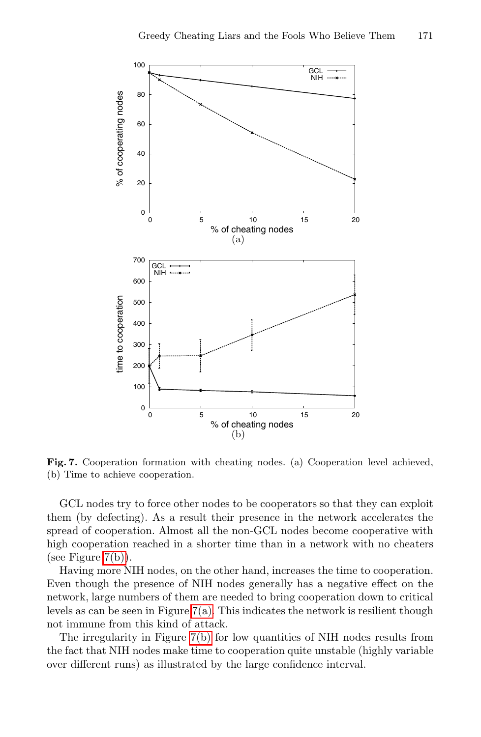

**Fig. 7.** Cooperation formation with cheating nodes. (a) Cooperation level achieved, (b) Time to achieve cooperation.

GCL nodes try to force other nodes to be cooperators so that they can exploit them (by defecting). As a result their presence in the network accelerates the spread of cooperation. Almost all the non-GCL nodes become cooperative with high cooperation reached in a shorter time than in a network with no cheaters (see Figure  $7(b)$ ).

Having more NIH nodes, on the other hand, increases the time to cooperation. Even though the presence of NIH nodes generally has a negative effect on the network, large numbers of them are needed to bring cooperation down to critical levels as can be seen in Figure  $7(a)$ . This indicates the network is resilient though not immune from this kind of attack.

The irregularity in Figure 7(b) for low quantities of NIH nodes results from the fact that NIH nodes make time to cooperation quite unstable (highly variable over different runs) as illustrated by the large confidence interval.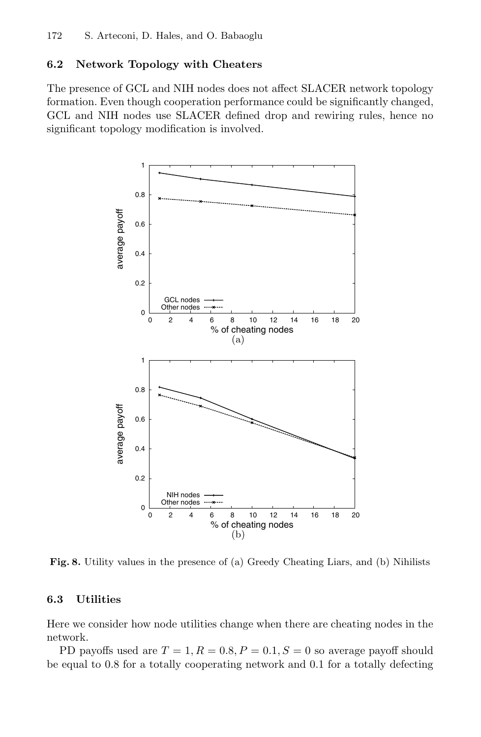#### **6.2 Network Topology with Cheaters**

The presence of GCL and NIH nodes does not affect SLACER network topology formation. Even though cooperation performance could be significantly changed, GCL and NIH nodes use SLACER defined drop and rewiring rules, hence no significant topology modification is involved.



**Fig. 8.** Utility values in the presence of (a) Greedy Cheating Liars, and (b) Nihilists

## **6.3 Utilities**

Here we consider how node utilities change when there are cheating nodes in the network.

PD payoffs used are  $T = 1, R = 0.8, P = 0.1, S = 0$  so average payoff should be equal to 0.8 for a totally cooperating network and 0.1 for a totally defecting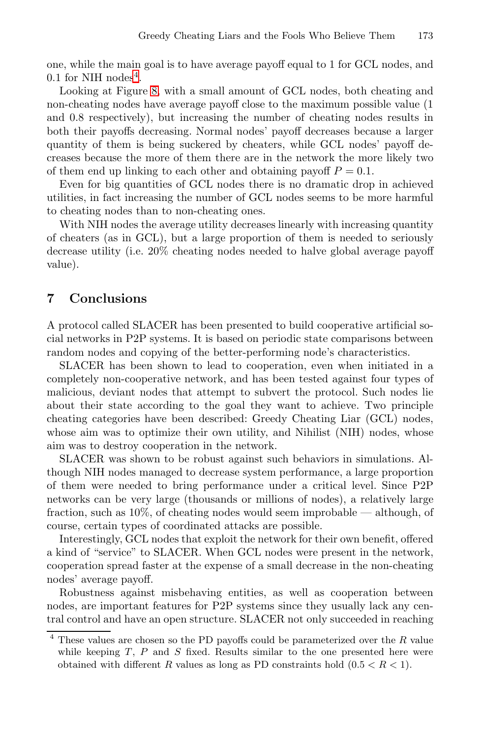one, while the main goal is to have average payoff equal to 1 for GCL nodes, and  $0.1$  for NIH nodes<sup>4</sup>.

Looking at Figure 8, with a small amount of GCL nodes, both cheating and non-cheating nodes have average payoff close to the maximum possible value (1 and 0.8 respectively), but increasing the number of cheating nodes results in both their payoffs decreasing. Normal nodes' payoff decreases because a larger quantity of them is being suckered by cheaters, while GCL nodes' payoff decreases because the more of them there are in the network the more likely two of them end up linking to each other and obtaining payoff  $P = 0.1$ .

Even for big quantities of GCL nodes there is no dramatic drop in achieved utilities, in fact increasing the number of GCL nodes seems to be more harmful to cheating nodes than to non-cheating ones.

With NIH nodes the average utility decreases linearly with increasing quantity of cheaters (as in GCL), but a large proportion of them is needed to seriously decrease utility (i.e. 20% cheating nodes needed to halve global average payoff value).

# **7 Conclusions**

A protocol called SLACER has been presented to build cooperative artificial social networks in P2P systems. It is based on periodic state comparisons between random nodes and copying of the better-performing node's characteristics.

SLACER has been shown to lead to cooperation, even when initiated in a completely non-cooperative network, and has been tested against four types of malicious, deviant nodes that attempt to subvert the protocol. Such nodes lie about their state according to the goal they want to achieve. Two principle cheating categories have been described: Greedy Cheating Liar (GCL) nodes, whose aim was to optimize their own utility, and Nihilist (NIH) nodes, whose aim was to destroy cooperation in the network.

SLACER was shown to be robust against such behaviors in simulations. Although NIH nodes managed to decrease system performance, a large proportion of them were needed to bring performance under a critical level. Since P2P networks can be very large (thousands or millions of nodes), a relatively large fraction, such as 10%, of cheating nodes would seem improbable — although, of course, certain types of coordinated attacks are possible.

Interestingly, GCL nodes that exploit the network for their own benefit, offered a kind of "service" to SLACER. When GCL nodes were present in the network, cooperation spread faster at the expense of a small decrease in the non-cheating nodes' average payoff.

Robustness against misbehaving entities, as well as cooperation between nodes, are important features for P2P systems since they usually lack any central control and have an open structure. SLACER not only succeeded in reaching

 $4$  These values are chosen so the PD payoffs could be parameterized over the R value while keeping  $T$ ,  $P$  and  $S$  fixed. Results similar to the one presented here were obtained with different R values as long as PD constraints hold  $(0.5 < R < 1)$ .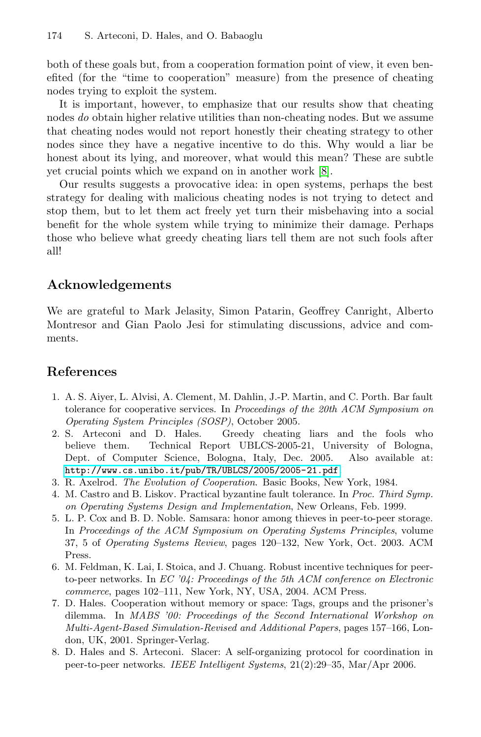both of these goals but, from a cooperation formation point of view, it even benefited (for the "time to cooperation" measure) from the presence of cheating nodes trying to exploit the system.

It is important, however, to emphasize that our results show that cheating nodes do obtain higher relative utilities than non-cheating nodes. But we assume that cheating nodes would not report honestly their cheating strategy to other nodes since they have a negative incentive to do this. Why would a liar be honest about its lying, and moreover, what would this mean? These are subtle yet crucial points which we expand on in another work [8].

Our results suggests a provocative idea: in open systems, perhaps the best strategy for dealing with malicious cheating nodes is not trying to detect and stop them, but to let them act freely yet turn their misbehaving into a social benefit for the whole system while trying to minimize their damage. Perhaps those who believe what greedy cheating liars tell them are not such fools after all!

# **Acknowledgements**

We are grateful to Mark Jelasity, Simon Patarin, Geoffrey Canright, Alberto Montresor and Gian Paolo Jesi for stimulating discussions, advice and comments.

# **References**

- 1. A. S. Aiyer, L. Alvisi, A. Clement, M. Dahlin, J.-P. Martin, and C. Porth. Bar fault tolerance for cooperative services. In Proceedings of the 20th ACM Symposium on Operating System Principles (SOSP), October 2005.
- 2. S. Arteconi and D. Hales. Greedy cheating liars and the fools who believe them. Technical Report UBLCS-2005-21, University of Bologna, Dept. of Computer Science, Bologna, Italy, Dec. 2005. Also available at: <http://www.cs.unibo.it/pub/TR/UBLCS/2005/2005-21.pdf>.
- 3. R. Axelrod. The Evolution of Cooperation. Basic Books, New York, 1984.
- 4. M. Castro and B. Liskov. Practical byzantine fault tolerance. In Proc. Third Symp. on Operating Systems Design and Implementation, New Orleans, Feb. 1999.
- 5. L. P. Cox and B. D. Noble. Samsara: honor among thieves in peer-to-peer storage. In Proceedings of the ACM Symposium on Operating Systems Principles, volume 37, 5 of Operating Systems Review, pages 120–132, New York, Oct. 2003. ACM Press.
- 6. M. Feldman, K. Lai, I. Stoica, and J. Chuang. Robust incentive techniques for peerto-peer networks. In  $EC'04$ : Proceedings of the 5th ACM conference on Electronic commerce, pages 102–111, New York, NY, USA, 2004. ACM Press.
- 7. D. Hales. Cooperation without memory or space: Tags, groups and the prisoner's dilemma. In MABS '00: Proceedings of the Second International Workshop on Multi-Agent-Based Simulation-Revised and Additional Papers, pages 157–166, London, UK, 2001. Springer-Verlag.
- 8. D. Hales and S. Arteconi. Slacer: A self-organizing protocol for coordination in peer-to-peer networks. IEEE Intelligent Systems, 21(2):29–35, Mar/Apr 2006.